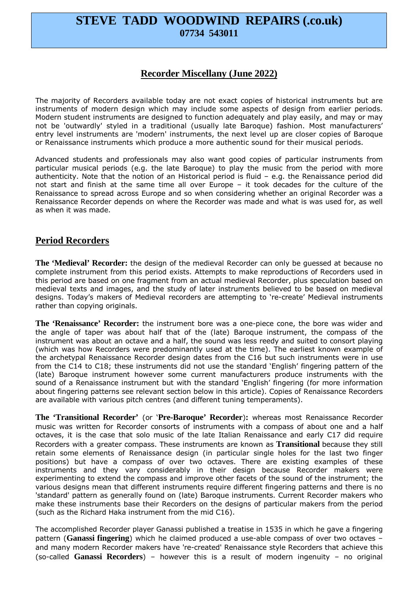# **STEVE TADD WOODWIND REPAIRS (.co.uk) 07734 543011**

#### **Recorder Miscellany (June 2022)**

The majority of Recorders available today are not exact copies of historical instruments but are instruments of modern design which may include some aspects of design from earlier periods. Modern student instruments are designed to function adequately and play easily, and may or may not be 'outwardly' styled in a traditional (usually late Baroque) fashion. Most manufacturers' entry level instruments are 'modern' instruments, the next level up are closer copies of Baroque or Renaissance instruments which produce a more authentic sound for their musical periods.

Advanced students and professionals may also want good copies of particular instruments from particular musical periods (e.g. the late Baroque) to play the music from the period with more authenticity. Note that the notion of an Historical period is fluid – e.g. the Renaissance period did not start and finish at the same time all over Europe – it took decades for the culture of the Renaissance to spread across Europe and so when considering whether an original Recorder was a Renaissance Recorder depends on where the Recorder was made and what is was used for, as well as when it was made.

#### **Period Recorders**

**The 'Medieval' Recorder:** the design of the medieval Recorder can only be guessed at because no complete instrument from this period exists. Attempts to make reproductions of Recorders used in this period are based on one fragment from an actual medieval Recorder, plus speculation based on medieval texts and images, and the study of later instruments believed to be based on medieval designs. Today's makers of Medieval recorders are attempting to 're-create' Medieval instruments rather than copying originals.

**The 'Renaissance' Recorder:** the instrument bore was a one-piece cone, the bore was wider and the angle of taper was about half that of the (late) Baroque instrument, the compass of the instrument was about an octave and a half, the sound was less reedy and suited to consort playing (which was how Recorders were predominantly used at the time). The earliest known example of the archetypal Renaissance Recorder design dates from the C16 but such instruments were in use from the C14 to C18; these instruments did not use the standard 'English' fingering pattern of the (late) Baroque instrument however some current manufacturers produce instruments with the sound of a Renaissance instrument but with the standard 'English' fingering (for more information about fingering patterns see relevant section below in this article). Copies of Renaissance Recorders are available with various pitch centres (and different tuning temperaments).

**The 'Transitional Recorder'** (or '**Pre-Baroque' Recorder**)**:** whereas most Renaissance Recorder music was written for Recorder consorts of instruments with a compass of about one and a half octaves, it is the case that solo music of the late Italian Renaissance and early C17 did require Recorders with a greater compass. These instruments are known as **Transitional** because they still retain some elements of Renaissance design (in particular single holes for the last two finger positions) but have a compass of over two octaves. There are existing examples of these instruments and they vary considerably in their design because Recorder makers were experimenting to extend the compass and improve other facets of the sound of the instrument; the various designs mean that different instruments require different fingering patterns and there is no 'standard' pattern as generally found on (late) Baroque instruments. Current Recorder makers who make these instruments base their Recorders on the designs of particular makers from the period (such as the Richard Haka instrument from the mid C16).

The accomplished Recorder player Ganassi published a treatise in 1535 in which he gave a fingering pattern (**Ganassi fingering**) which he claimed produced a use-able compass of over two octaves – and many modern Recorder makers have 're-created' Renaissance style Recorders that achieve this (so-called **Ganassi Recorders**) – however this is a result of modern ingenuity – no original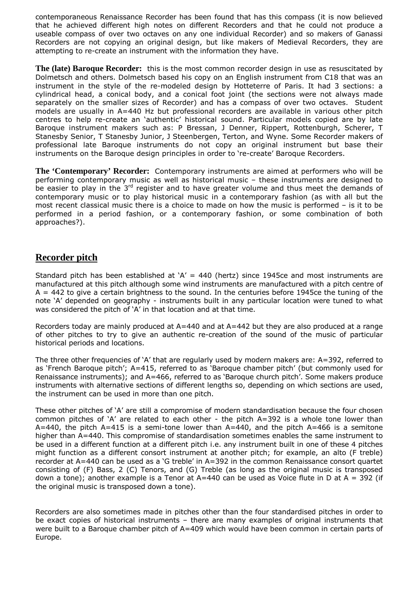contemporaneous Renaissance Recorder has been found that has this compass (it is now believed that he achieved different high notes on different Recorders and that he could not produce a useable compass of over two octaves on any one individual Recorder) and so makers of Ganassi Recorders are not copying an original design, but like makers of Medieval Recorders, they are attempting to re-create an instrument with the information they have.

**The (late) Baroque Recorder:** this is the most common recorder design in use as resuscitated by Dolmetsch and others. Dolmetsch based his copy on an English instrument from C18 that was an instrument in the style of the re-modeled design by Hotteterre of Paris. It had 3 sections: a cylindrical head, a conical body, and a conical foot joint (the sections were not always made separately on the smaller sizes of Recorder) and has a compass of over two octaves. Student models are usually in A=440 Hz but professional recorders are available in various other pitch centres to help re-create an 'authentic' historical sound. Particular models copied are by late Baroque instrument makers such as: P Bressan, J Denner, Rippert, Rottenburgh, Scherer, T Stanesby Senior, T Stanesby Junior, J Steenbergen, Terton, and Wyne. Some Recorder makers of professional late Baroque instruments do not copy an original instrument but base their instruments on the Baroque design principles in order to 're-create' Baroque Recorders.

**The 'Contemporary' Recorder:** Contemporary instruments are aimed at performers who will be performing contemporary music as well as historical music – these instruments are designed to be easier to play in the 3<sup>rd</sup> register and to have greater volume and thus meet the demands of contemporary music or to play historical music in a contemporary fashion (as with all but the most recent classical music there is a choice to made on how the music is performed – is it to be performed in a period fashion, or a contemporary fashion, or some combination of both approaches?).

### **Recorder pitch**

Standard pitch has been established at  $A' = 440$  (hertz) since 1945ce and most instruments are manufactured at this pitch although some wind instruments are manufactured with a pitch centre of  $A = 442$  to give a certain brightness to the sound. In the centuries before 1945ce the tuning of the note 'A' depended on geography - instruments built in any particular location were tuned to what was considered the pitch of 'A' in that location and at that time.

Recorders today are mainly produced at A=440 and at A=442 but they are also produced at a range of other pitches to try to give an authentic re-creation of the sound of the music of particular historical periods and locations.

The three other frequencies of 'A' that are regularly used by modern makers are: A=392, referred to as 'French Baroque pitch'; A=415, referred to as 'Baroque chamber pitch' (but commonly used for Renaissance instruments); and A=466, referred to as 'Baroque church pitch'. Some makers produce instruments with alternative sections of different lengths so, depending on which sections are used, the instrument can be used in more than one pitch.

These other pitches of 'A' are still a compromise of modern standardisation because the four chosen common pitches of 'A' are related to each other - the pitch A=392 is a whole tone lower than  $A=440$ , the pitch  $A=415$  is a semi-tone lower than  $A=440$ , and the pitch  $A=466$  is a semitone higher than A=440. This compromise of standardisation sometimes enables the same instrument to be used in a different function at a different pitch i.e. any instrument built in one of these 4 pitches might function as a different consort instrument at another pitch; for example, an alto (F treble) recorder at A=440 can be used as a 'G treble' in A=392 in the common Renaissance consort quartet consisting of (F) Bass, 2 (C) Tenors, and (G) Treble (as long as the original music is transposed down a tone); another example is a Tenor at  $A=440$  can be used as Voice flute in D at  $A = 392$  (if the original music is transposed down a tone).

Recorders are also sometimes made in pitches other than the four standardised pitches in order to be exact copies of historical instruments – there are many examples of original instruments that were built to a Baroque chamber pitch of A=409 which would have been common in certain parts of Europe.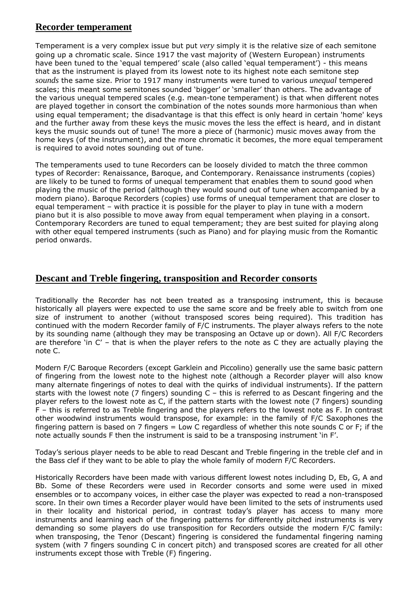#### **Recorder temperament**

Temperament is a very complex issue but put *very* simply it is the relative size of each semitone going up a chromatic scale. Since 1917 the vast majority of (Western European) instruments have been tuned to the 'equal tempered' scale (also called 'equal temperament') - this means that as the instrument is played from its lowest note to its highest note each semitone step *sounds* the same size. Prior to 1917 many instruments were tuned to various *unequal* tempered scales; this meant some semitones sounded 'bigger' or 'smaller' than others. The advantage of the various unequal tempered scales (e.g. mean-tone temperament) is that when different notes are played together in consort the combination of the notes sounds more harmonious than when using equal temperament; the disadvantage is that this effect is only heard in certain 'home' keys and the further away from these keys the music moves the less the effect is heard, and in distant keys the music sounds out of tune! The more a piece of (harmonic) music moves away from the home keys (of the instrument), and the more chromatic it becomes, the more equal temperament is required to avoid notes sounding out of tune.

The temperaments used to tune Recorders can be loosely divided to match the three common types of Recorder: Renaissance, Baroque, and Contemporary. Renaissance instruments (copies) are likely to be tuned to forms of unequal temperament that enables them to sound good when playing the music of the period (although they would sound out of tune when accompanied by a modern piano). Baroque Recorders (copies) use forms of unequal temperament that are closer to equal temperament – with practice it is possible for the player to play in tune with a modern piano but it is also possible to move away from equal temperament when playing in a consort. Contemporary Recorders are tuned to equal temperament; they are best suited for playing along with other equal tempered instruments (such as Piano) and for playing music from the Romantic period onwards.

#### **Descant and Treble fingering, transposition and Recorder consorts**

Traditionally the Recorder has not been treated as a transposing instrument, this is because historically all players were expected to use the same score and be freely able to switch from one size of instrument to another (without transposed scores being required). This tradition has continued with the modern Recorder family of F/C instruments. The player always refers to the note by its sounding name (although they may be transposing an Octave up or down). All F/C Recorders are therefore 'in  $C'$  – that is when the player refers to the note as C they are actually playing the note C.

Modern F/C Baroque Recorders (except Garklein and Piccolino) generally use the same basic pattern of fingering from the lowest note to the highest note (although a Recorder player will also know many alternate fingerings of notes to deal with the quirks of individual instruments). If the pattern starts with the lowest note (7 fingers) sounding C – this is referred to as Descant fingering and the player refers to the lowest note as C, if the pattern starts with the lowest note (7 fingers) sounding F – this is referred to as Treble fingering and the players refers to the lowest note as F. In contrast other woodwind instruments would transpose, for example: in the family of F/C Saxophones the fingering pattern is based on 7 fingers = Low C regardless of whether this note sounds C or F; if the note actually sounds F then the instrument is said to be a transposing instrument 'in F'.

Today's serious player needs to be able to read Descant and Treble fingering in the treble clef and in the Bass clef if they want to be able to play the whole family of modern F/C Recorders.

Historically Recorders have been made with various different lowest notes including D, Eb, G, A and Bb. Some of these Recorders were used in Recorder consorts and some were used in mixed ensembles or to accompany voices, in either case the player was expected to read a non-transposed score. In their own times a Recorder player would have been limited to the sets of instruments used in their locality and historical period, in contrast today's player has access to many more instruments and learning each of the fingering patterns for differently pitched instruments is very demanding so some players do use transposition for Recorders outside the modern F/C family: when transposing, the Tenor (Descant) fingering is considered the fundamental fingering naming system (with 7 fingers sounding C in concert pitch) and transposed scores are created for all other instruments except those with Treble (F) fingering.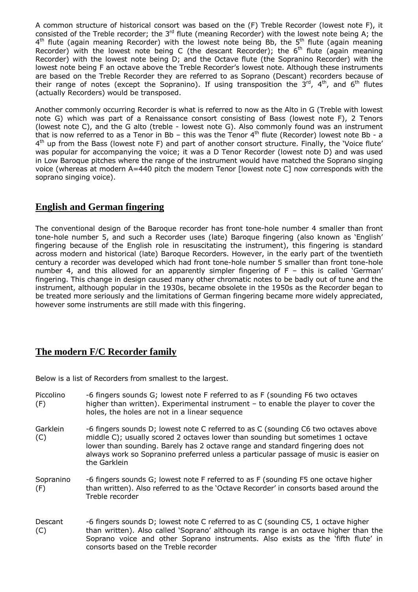A common structure of historical consort was based on the (F) Treble Recorder (lowest note F), it consisted of the Treble recorder; the 3<sup>rd</sup> flute (meaning Recorder) with the lowest note being A; the 4<sup>th</sup> flute (again meaning Recorder) with the lowest note being Bb, the 5<sup>th</sup> flute (again meaning Recorder) with the lowest note being C (the descant Recorder); the  $6<sup>th</sup>$  flute (again meaning Recorder) with the lowest note being D; and the Octave flute (the Sopranino Recorder) with the lowest note being F an octave above the Treble Recorder's lowest note. Although these instruments are based on the Treble Recorder they are referred to as Soprano (Descant) recorders because of their range of notes (except the Sopranino). If using transposition the  $3^{rd}$ , 4<sup>th</sup>, and 6<sup>th</sup> flutes (actually Recorders) would be transposed.

Another commonly occurring Recorder is what is referred to now as the Alto in G (Treble with lowest note G) which was part of a Renaissance consort consisting of Bass (lowest note F), 2 Tenors (lowest note C), and the G alto (treble - lowest note G). Also commonly found was an instrument that is now referred to as a Tenor in Bb – this was the Tenor  $4<sup>th</sup>$  flute (Recorder) lowest note Bb - a 4<sup>th</sup> up from the Bass (lowest note F) and part of another consort structure. Finally, the 'Voice flute' was popular for accompanying the voice; it was a D Tenor Recorder (lowest note D) and was used in Low Baroque pitches where the range of the instrument would have matched the Soprano singing voice (whereas at modern A=440 pitch the modern Tenor [lowest note C] now corresponds with the soprano singing voice).

## **English and German fingering**

The conventional design of the Baroque recorder has front tone-hole number 4 smaller than front tone-hole number 5, and such a Recorder uses (late) Baroque fingering (also known as 'English' fingering because of the English role in resuscitating the instrument), this fingering is standard across modern and historical (late) Baroque Recorders. However, in the early part of the twentieth century a recorder was developed which had front tone-hole number 5 smaller than front tone-hole number 4, and this allowed for an apparently simpler fingering of F – this is called 'German' fingering. This change in design caused many other chromatic notes to be badly out of tune and the instrument, although popular in the 1930s, became obsolete in the 1950s as the Recorder began to be treated more seriously and the limitations of German fingering became more widely appreciated, however some instruments are still made with this fingering.

## **The modern F/C Recorder family**

Below is a list of Recorders from smallest to the largest.

| Piccolino<br>(F) | -6 fingers sounds G; lowest note F referred to as F (sounding F6 two octaves<br>higher than written). Experimental instrument - to enable the player to cover the<br>holes, the holes are not in a linear sequence                                                                                                                                             |
|------------------|----------------------------------------------------------------------------------------------------------------------------------------------------------------------------------------------------------------------------------------------------------------------------------------------------------------------------------------------------------------|
| Garklein<br>(C)  | -6 fingers sounds D; lowest note C referred to as C (sounding C6 two octaves above<br>middle C); usually scored 2 octaves lower than sounding but sometimes 1 octave<br>lower than sounding. Barely has 2 octave range and standard fingering does not<br>always work so Sopranino preferred unless a particular passage of music is easier on<br>the Garklein |
| Sopranino<br>(F) | -6 fingers sounds G; lowest note F referred to as F (sounding F5 one octave higher<br>than written). Also referred to as the 'Octave Recorder' in consorts based around the<br>Treble recorder                                                                                                                                                                 |
| Descant<br>(C)   | -6 fingers sounds D; lowest note C referred to as C (sounding C5, 1 octave higher<br>than written). Also called 'Soprano' although its range is an octave higher than the<br>Soprano voice and other Soprano instruments. Also exists as the 'fifth flute' in<br>consorts based on the Treble recorder                                                         |